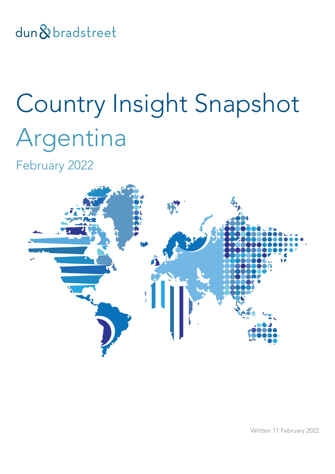dun & bradstreet

# Country Insight Snapshot Argentina

February 2022



Written 11 February 2022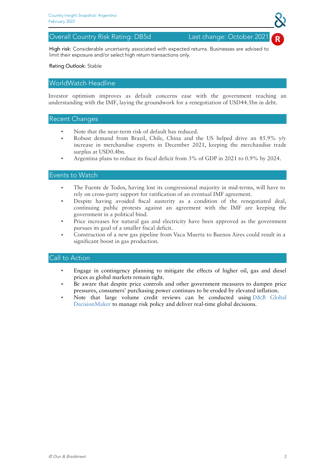### Overall Country Risk Rating: DB5d Last change: October 2021

High risk: Considerable uncertainty associated with expected returns. Businesses are advised to limit their exposure and/or select high return transactions only.

### Rating Outlook: Stable

## WorldWatch Headline

Investor optimism improves as default concerns ease with the government reaching an understanding with the IMF, laying the groundwork for a renegotiation of USD44.5bn in debt.

### Recent Changes

- Note that the near-term risk of default has reduced.
- Robust demand from Brazil, Chile, China and the US helped drive an 85.9% y/y increase in merchandise exports in December 2021, keeping the merchandise trade surplus at USD0.4bn.
- Argentina plans to reduce its fiscal deficit from 3% of GDP in 2021 to 0.9% by 2024.

### Events to Watch

- The Fuente de Todos, having lost its congressional majority in mid-terms, will have to rely on cross-party support for ratification of an eventual IMF agreement.
- Despite having avoided fiscal austerity as a condition of the renegotiated deal, continuing public protests against an agreement with the IMF are keeping the government in a political bind.
- Price increases for natural gas and electricity have been approved as the government pursues its goal of a smaller fiscal deficit.
- Construction of a new gas pipeline from Vaca Muerta to Buenos Aires could result in a significant boost in gas production.

- Engage in contingency planning to mitigate the effects of higher oil, gas and diesel prices as global markets remain tight.
- Be aware that despite price controls and other government measures to dampen price pressures, consumers' purchasing power continues to be eroded by elevated inflation.
- Note that large volume credit reviews can be conducted using D&B Global [DecisionMaker](https://www.dnb.co.uk/products/finance-credit-risk.html) to manage risk policy and deliver real-time global decisions.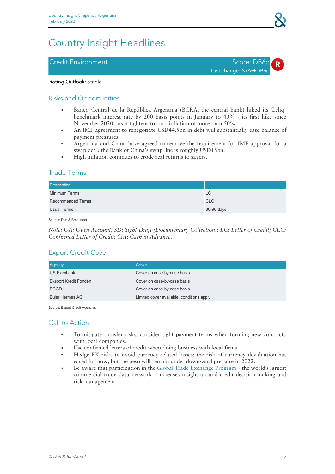# Country Insight Headlines

# Credit Environment Score: DB6c





### Rating Outlook: Stable

# Risks and Opportunities

- Banco Central de la República Argentina (BCRA, the central bank) hiked its 'Leliq' benchmark interest rate by 200 basis points in January to 40% - its first hike since November 2020 - as it tightens to curb inflation of more than 50%.
- An IMF agreement to renegotiate USD44.5bn in debt will substantially ease balance of payment pressures.
- Argentina and China have agreed to remove the requirement for IMF approval for a swap deal; the Bank of China's swap line is roughly USD18bn.
- High inflation continues to erode real returns to savers.

# Trade Terms

| <b>Description</b>       |            |
|--------------------------|------------|
| <b>Minimum Terms</b>     | LC         |
| <b>Recommended Terms</b> | CLC        |
| Usual Terms              | 30-90 days |

Source: Dun & Bradstreet

*Note: OA: Open Account; SD: Sight Draft (Documentary Collection); LC: Letter of Credit; CLC: Confirmed Letter of Credit; CiA: Cash in Advance.*

# Export Credit Cover

| Agency                       | Cover                                     |
|------------------------------|-------------------------------------------|
| <b>US Eximbank</b>           | Cover on case-by-case basis               |
| <b>Eksport Kredit Fonden</b> | Cover on case-by-case basis               |
| <b>ECGD</b>                  | Cover on case-by-case basis               |
| Euler Hermes AG              | Limited cover available, conditions apply |

Source: Export Credit Agencies

- To mitigate transfer risks, consider tight payment terms when forming new contracts with local companies.
- Use confirmed letters of credit when doing business with local firms. ●
- Hedge FX risks to avoid currency-related losses; the risk of currency devaluation has eased for now, but the peso will remain under downward pressure in 2022.
- Be aware that participation in the Global Trade [Exchange](https://www.dnb.co.uk/products/finance-credit-risk/global-trade-exchange-program.html) Program the world's largest commercial trade data network - increases insight around credit decision-making and risk management.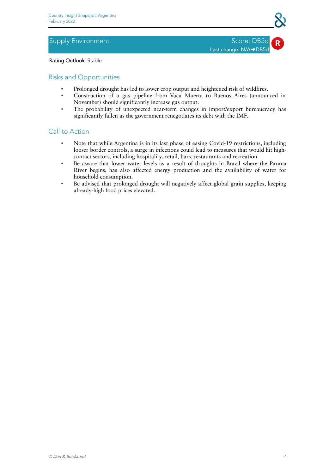# Supply Environment Supply Environment Score: DB5d

Last change: N/A→DB5d

Rating Outlook: Stable

# Risks and Opportunities

- Prolonged drought has led to lower crop output and heightened risk of wildfires.
- Construction of a gas pipeline from Vaca Muerta to Buenos Aires (announced in November) should significantly increase gas output.
- The probability of unexpected near-term changes in import/export bureaucracy has significantly fallen as the government renegotiates its debt with the IMF.

- Note that while Argentina is in its last phase of easing Covid-19 restrictions, including looser border controls, a surge in infections could lead to measures that would hit high contact sectors, including hospitality, retail, bars, restaurants and recreation.
- Be aware that lower water levels as a result of droughts in Brazil where the Parana River begins, has also affected energy production and the availability of water for household consumption.
- Be advised that prolonged drought will negatively affect global grain supplies, keeping already-high food prices elevated.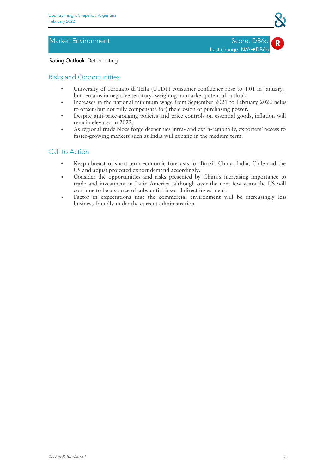# Market Environment National Score: DB6b

Last change: N/A→DB6b

### Rating Outlook: Deteriorating

# Risks and Opportunities

- University of Torcuato di Tella (UTDT) consumer confidence rose to 4.01 in January, but remains in negative territory, weighing on market potential outlook.
- Increases in the national minimum wage from September 2021 to February 2022 helps to offset (but not fully compensate for) the erosion of purchasing power.
- Despite anti-price-gouging policies and price controls on essential goods, inflation will remain elevated in 2022.
- As regional trade blocs forge deeper ties intra- and extra-regionally, exporters' access to faster-growing markets such as India will expand in the medium term.

- Keep abreast of short-term economic forecasts for Brazil, China, India, Chile and the US and adjust projected export demand accordingly.
- Consider the opportunities and risks presented by China's increasing importance to trade and investment in Latin America, although over the next few years the US will continue to be a source of substantial inward direct investment.
- Factor in expectations that the commercial environment will be increasingly less business-friendly under the current administration.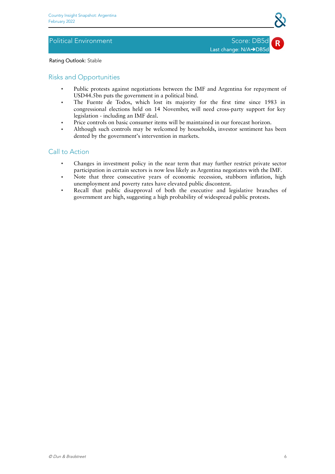# Political Environment National According Score: DB5d

Last change: N/A→DB5d

Rating Outlook: Stable

# Risks and Opportunities

- Public protests against negotiations between the IMF and Argentina for repayment of USD44.5bn puts the government in a political bind.
- The Fuente de Todos, which lost its majority for the first time since 1983 in congressional elections held on 14 November, will need cross-party support for key legislation - including an IMF deal.
- Price controls on basic consumer items will be maintained in our forecast horizon.
- Although such controls may be welcomed by households, investor sentiment has been dented by the government's intervention in markets.

- Changes in investment policy in the near term that may further restrict private sector participation in certain sectors is now less likely as Argentina negotiates with the IMF.
- Note that three consecutive years of economic recession, stubborn inflation, high unemployment and poverty rates have elevated public discontent.
- Recall that public disapproval of both the executive and legislative branches of government are high, suggesting a high probability of widespread public protests.